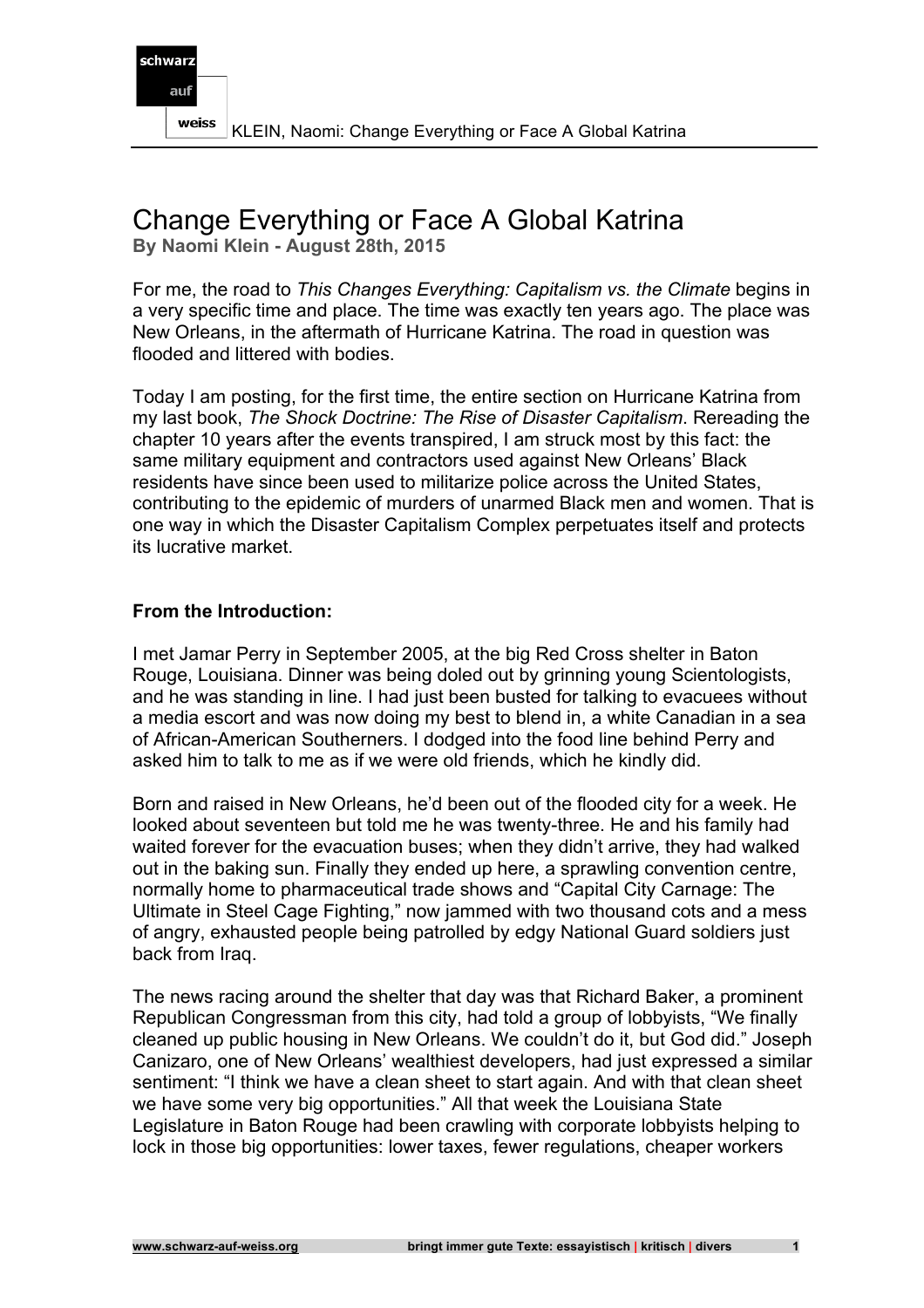

## Change Everything or Face A Global Katrina

**By Naomi Klein - August 28th, 2015**

For me, the road to *This Changes Everything: Capitalism vs. the Climate* begins in a very specific time and place. The time was exactly ten years ago. The place was New Orleans, in the aftermath of Hurricane Katrina. The road in question was flooded and littered with bodies.

Today I am posting, for the first time, the entire section on Hurricane Katrina from my last book, *The Shock Doctrine: The Rise of Disaster Capitalism*. Rereading the chapter 10 years after the events transpired, I am struck most by this fact: the same military equipment and contractors used against New Orleans' Black residents have since been used to militarize police across the United States, contributing to the epidemic of murders of unarmed Black men and women. That is one way in which the Disaster Capitalism Complex perpetuates itself and protects its lucrative market.

## **From the Introduction:**

I met Jamar Perry in September 2005, at the big Red Cross shelter in Baton Rouge, Louisiana. Dinner was being doled out by grinning young Scientologists, and he was standing in line. I had just been busted for talking to evacuees without a media escort and was now doing my best to blend in, a white Canadian in a sea of African-American Southerners. I dodged into the food line behind Perry and asked him to talk to me as if we were old friends, which he kindly did.

Born and raised in New Orleans, he'd been out of the flooded city for a week. He looked about seventeen but told me he was twenty-three. He and his family had waited forever for the evacuation buses; when they didn't arrive, they had walked out in the baking sun. Finally they ended up here, a sprawling convention centre, normally home to pharmaceutical trade shows and "Capital City Carnage: The Ultimate in Steel Cage Fighting," now jammed with two thousand cots and a mess of angry, exhausted people being patrolled by edgy National Guard soldiers just back from Iraq.

The news racing around the shelter that day was that Richard Baker, a prominent Republican Congressman from this city, had told a group of lobbyists, "We finally cleaned up public housing in New Orleans. We couldn't do it, but God did." Joseph Canizaro, one of New Orleans' wealthiest developers, had just expressed a similar sentiment: "I think we have a clean sheet to start again. And with that clean sheet we have some very big opportunities." All that week the Louisiana State Legislature in Baton Rouge had been crawling with corporate lobbyists helping to lock in those big opportunities: lower taxes, fewer regulations, cheaper workers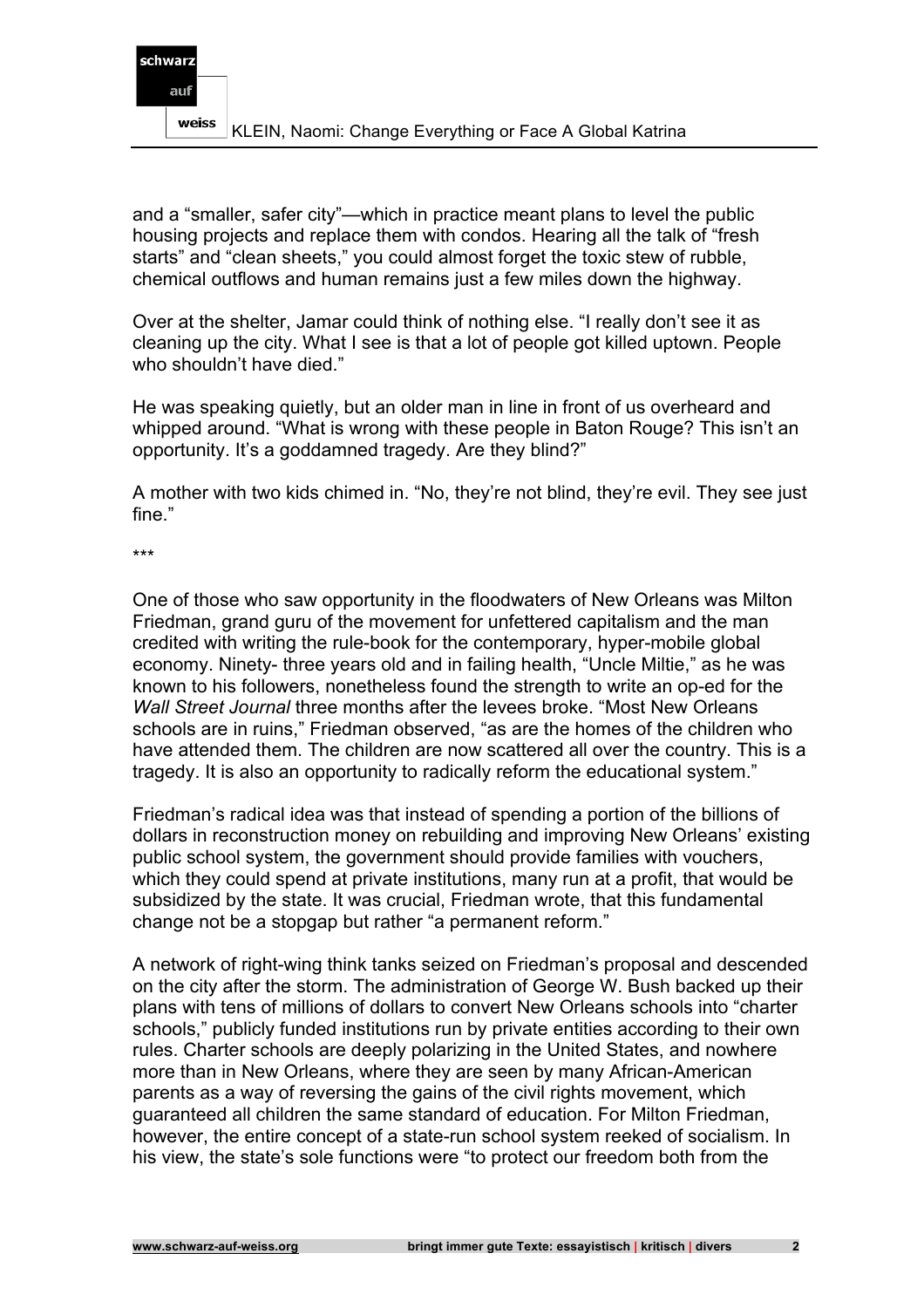

and a "smaller, safer city"—which in practice meant plans to level the public housing projects and replace them with condos. Hearing all the talk of "fresh starts" and "clean sheets," you could almost forget the toxic stew of rubble, chemical outflows and human remains just a few miles down the highway.

Over at the shelter, Jamar could think of nothing else. "I really don't see it as cleaning up the city. What I see is that a lot of people got killed uptown. People who shouldn't have died."

He was speaking quietly, but an older man in line in front of us overheard and whipped around. "What is wrong with these people in Baton Rouge? This isn't an opportunity. It's a goddamned tragedy. Are they blind?"

A mother with two kids chimed in. "No, they're not blind, they're evil. They see just fine."

\*\*\*

One of those who saw opportunity in the floodwaters of New Orleans was Milton Friedman, grand guru of the movement for unfettered capitalism and the man credited with writing the rule-book for the contemporary, hyper-mobile global economy. Ninety- three years old and in failing health, "Uncle Miltie," as he was known to his followers, nonetheless found the strength to write an op-ed for the *Wall Street Journal* three months after the levees broke. "Most New Orleans schools are in ruins," Friedman observed, "as are the homes of the children who have attended them. The children are now scattered all over the country. This is a tragedy. It is also an opportunity to radically reform the educational system."

Friedman's radical idea was that instead of spending a portion of the billions of dollars in reconstruction money on rebuilding and improving New Orleans' existing public school system, the government should provide families with vouchers, which they could spend at private institutions, many run at a profit, that would be subsidized by the state. It was crucial, Friedman wrote, that this fundamental change not be a stopgap but rather "a permanent reform."

A network of right-wing think tanks seized on Friedman's proposal and descended on the city after the storm. The administration of George W. Bush backed up their plans with tens of millions of dollars to convert New Orleans schools into "charter schools," publicly funded institutions run by private entities according to their own rules. Charter schools are deeply polarizing in the United States, and nowhere more than in New Orleans, where they are seen by many African-American parents as a way of reversing the gains of the civil rights movement, which guaranteed all children the same standard of education. For Milton Friedman, however, the entire concept of a state-run school system reeked of socialism. In his view, the state's sole functions were "to protect our freedom both from the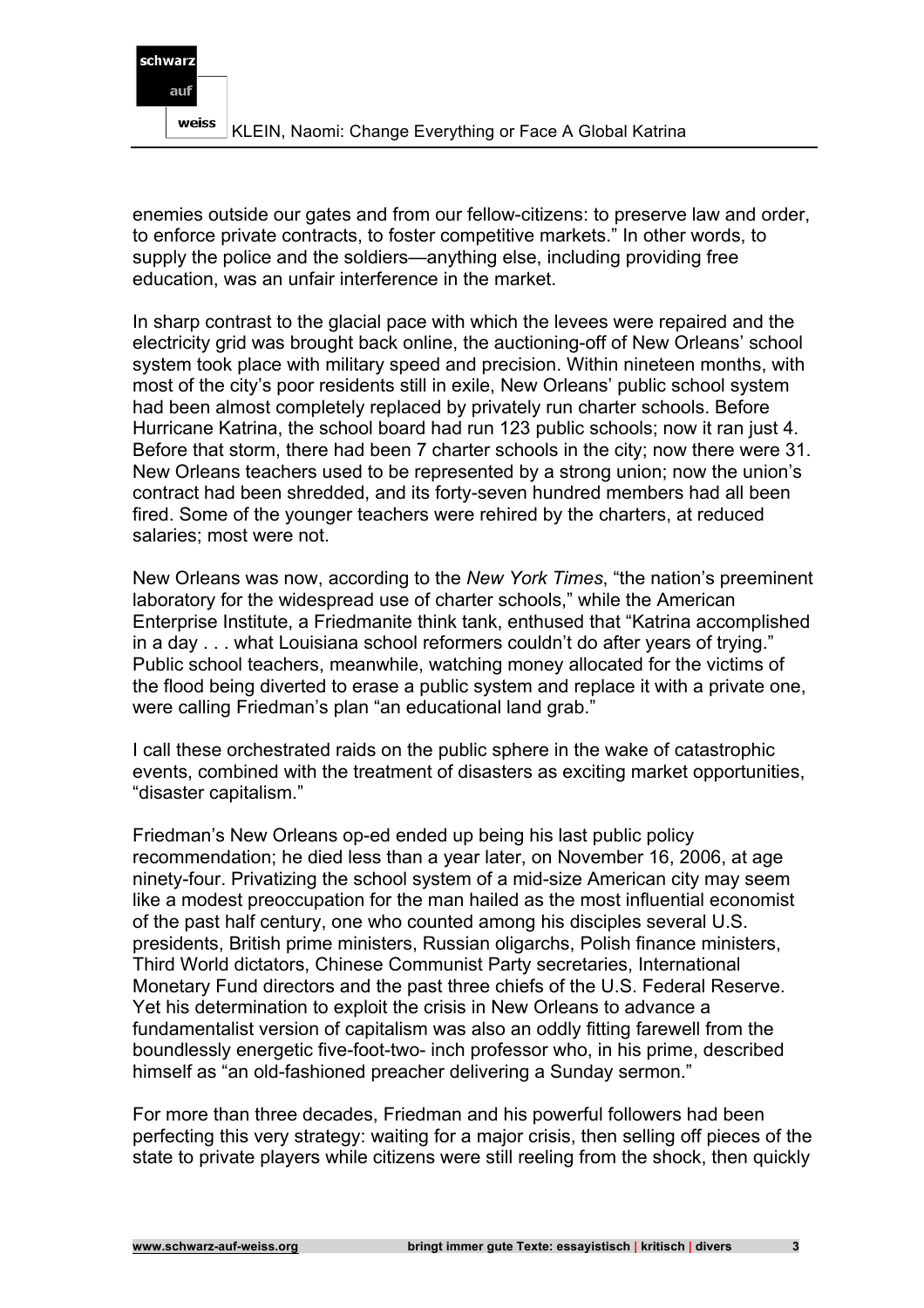

enemies outside our gates and from our fellow-citizens: to preserve law and order, to enforce private contracts, to foster competitive markets." In other words, to supply the police and the soldiers—anything else, including providing free education, was an unfair interference in the market.

In sharp contrast to the glacial pace with which the levees were repaired and the electricity grid was brought back online, the auctioning-off of New Orleans' school system took place with military speed and precision. Within nineteen months, with most of the city's poor residents still in exile, New Orleans' public school system had been almost completely replaced by privately run charter schools. Before Hurricane Katrina, the school board had run 123 public schools; now it ran just 4. Before that storm, there had been 7 charter schools in the city; now there were 31. New Orleans teachers used to be represented by a strong union; now the union's contract had been shredded, and its forty-seven hundred members had all been fired. Some of the younger teachers were rehired by the charters, at reduced salaries; most were not.

New Orleans was now, according to the *New York Times*, "the nation's preeminent laboratory for the widespread use of charter schools," while the American Enterprise Institute, a Friedmanite think tank, enthused that "Katrina accomplished in a day . . . what Louisiana school reformers couldn't do after years of trying." Public school teachers, meanwhile, watching money allocated for the victims of the flood being diverted to erase a public system and replace it with a private one, were calling Friedman's plan "an educational land grab."

I call these orchestrated raids on the public sphere in the wake of catastrophic events, combined with the treatment of disasters as exciting market opportunities, "disaster capitalism."

Friedman's New Orleans op-ed ended up being his last public policy recommendation; he died less than a year later, on November 16, 2006, at age ninety-four. Privatizing the school system of a mid-size American city may seem like a modest preoccupation for the man hailed as the most influential economist of the past half century, one who counted among his disciples several U.S. presidents, British prime ministers, Russian oligarchs, Polish finance ministers, Third World dictators, Chinese Communist Party secretaries, International Monetary Fund directors and the past three chiefs of the U.S. Federal Reserve. Yet his determination to exploit the crisis in New Orleans to advance a fundamentalist version of capitalism was also an oddly fitting farewell from the boundlessly energetic five-foot-two- inch professor who, in his prime, described himself as "an old-fashioned preacher delivering a Sunday sermon."

For more than three decades, Friedman and his powerful followers had been perfecting this very strategy: waiting for a major crisis, then selling off pieces of the state to private players while citizens were still reeling from the shock, then quickly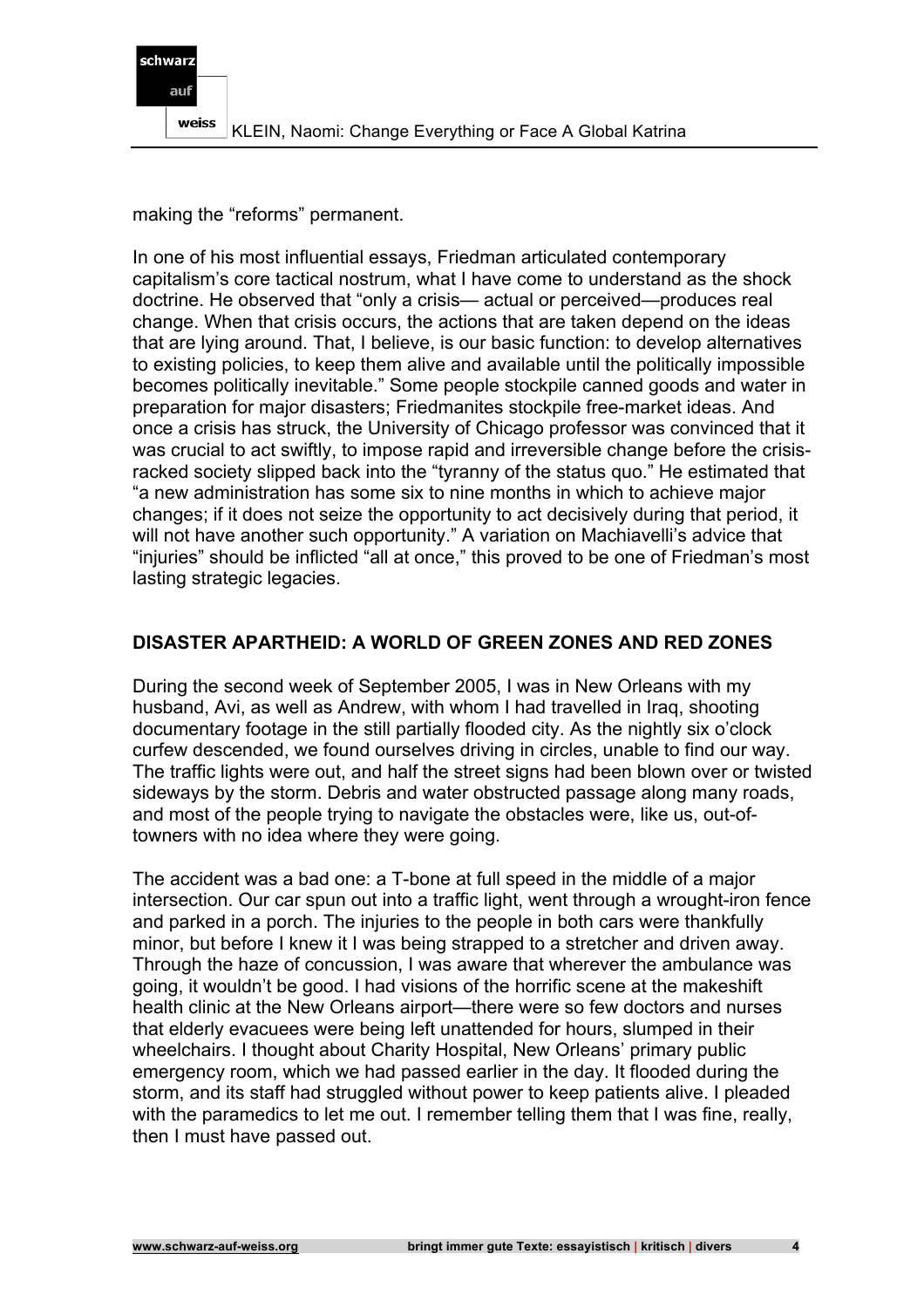

making the "reforms" permanent.

In one of his most influential essays, Friedman articulated contemporary capitalism's core tactical nostrum, what I have come to understand as the shock doctrine. He observed that "only a crisis— actual or perceived—produces real change. When that crisis occurs, the actions that are taken depend on the ideas that are lying around. That, I believe, is our basic function: to develop alternatives to existing policies, to keep them alive and available until the politically impossible becomes politically inevitable." Some people stockpile canned goods and water in preparation for major disasters; Friedmanites stockpile free-market ideas. And once a crisis has struck, the University of Chicago professor was convinced that it was crucial to act swiftly, to impose rapid and irreversible change before the crisisracked society slipped back into the "tyranny of the status quo." He estimated that "a new administration has some six to nine months in which to achieve major changes; if it does not seize the opportunity to act decisively during that period, it will not have another such opportunity." A variation on Machiavelli's advice that "injuries" should be inflicted "all at once," this proved to be one of Friedman's most lasting strategic legacies.

## **DISASTER APARTHEID: A WORLD OF GREEN ZONES AND RED ZONES**

During the second week of September 2005, I was in New Orleans with my husband, Avi, as well as Andrew, with whom I had travelled in Iraq, shooting documentary footage in the still partially flooded city. As the nightly six o'clock curfew descended, we found ourselves driving in circles, unable to find our way. The traffic lights were out, and half the street signs had been blown over or twisted sideways by the storm. Debris and water obstructed passage along many roads, and most of the people trying to navigate the obstacles were, like us, out-oftowners with no idea where they were going.

The accident was a bad one: a T-bone at full speed in the middle of a major intersection. Our car spun out into a traffic light, went through a wrought-iron fence and parked in a porch. The injuries to the people in both cars were thankfully minor, but before I knew it I was being strapped to a stretcher and driven away. Through the haze of concussion, I was aware that wherever the ambulance was going, it wouldn't be good. I had visions of the horrific scene at the makeshift health clinic at the New Orleans airport—there were so few doctors and nurses that elderly evacuees were being left unattended for hours, slumped in their wheelchairs. I thought about Charity Hospital, New Orleans' primary public emergency room, which we had passed earlier in the day. It flooded during the storm, and its staff had struggled without power to keep patients alive. I pleaded with the paramedics to let me out. I remember telling them that I was fine, really, then I must have passed out.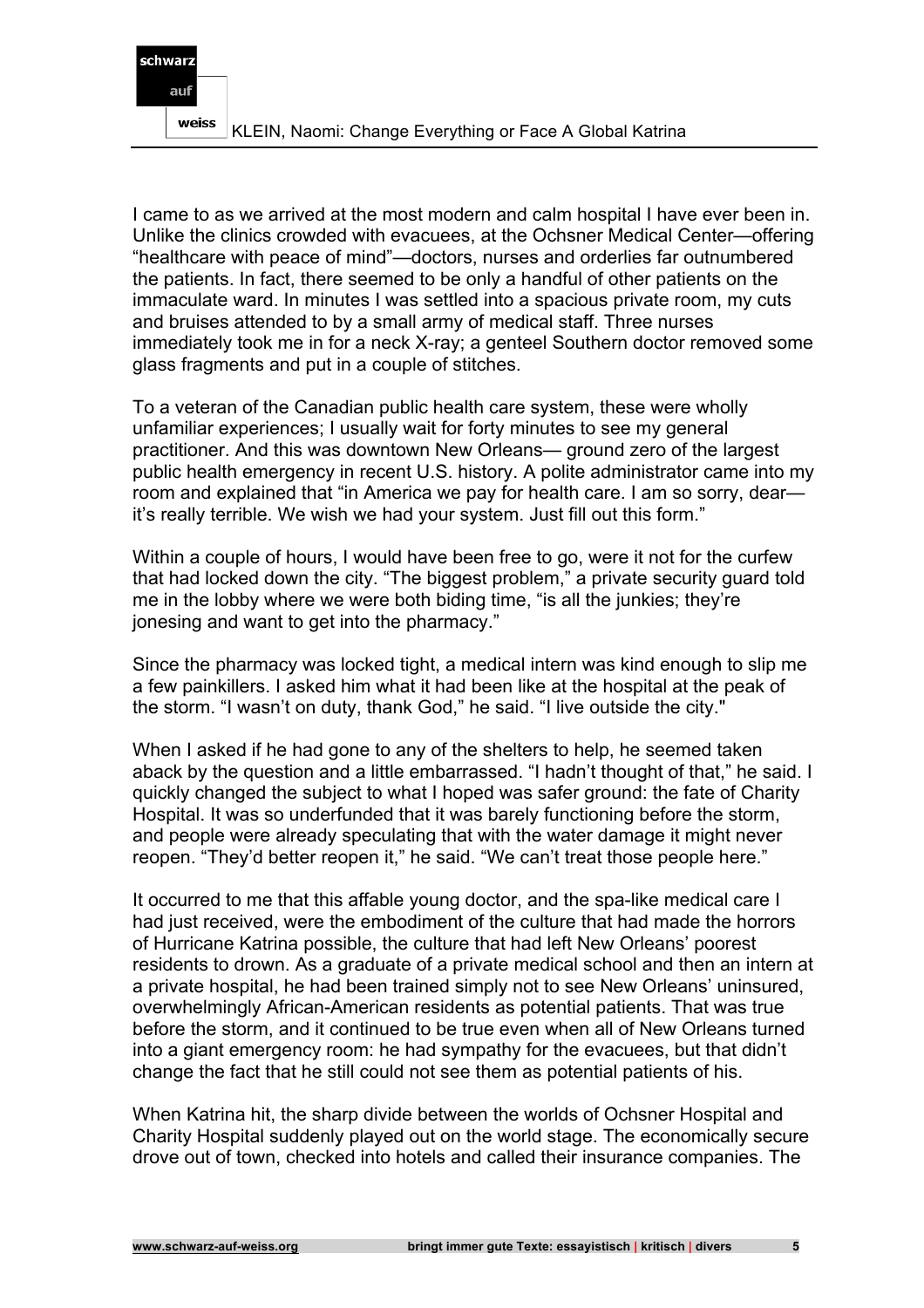

I came to as we arrived at the most modern and calm hospital I have ever been in. Unlike the clinics crowded with evacuees, at the Ochsner Medical Center—offering "healthcare with peace of mind"—doctors, nurses and orderlies far outnumbered the patients. In fact, there seemed to be only a handful of other patients on the immaculate ward. In minutes I was settled into a spacious private room, my cuts and bruises attended to by a small army of medical staff. Three nurses immediately took me in for a neck X-ray; a genteel Southern doctor removed some glass fragments and put in a couple of stitches.

To a veteran of the Canadian public health care system, these were wholly unfamiliar experiences; I usually wait for forty minutes to see my general practitioner. And this was downtown New Orleans— ground zero of the largest public health emergency in recent U.S. history. A polite administrator came into my room and explained that "in America we pay for health care. I am so sorry, dear it's really terrible. We wish we had your system. Just fill out this form."

Within a couple of hours, I would have been free to go, were it not for the curfew that had locked down the city. "The biggest problem," a private security guard told me in the lobby where we were both biding time, "is all the junkies; they're jonesing and want to get into the pharmacy."

Since the pharmacy was locked tight, a medical intern was kind enough to slip me a few painkillers. I asked him what it had been like at the hospital at the peak of the storm. "I wasn't on duty, thank God," he said. "I live outside the city."

When I asked if he had gone to any of the shelters to help, he seemed taken aback by the question and a little embarrassed. "I hadn't thought of that," he said. I quickly changed the subject to what I hoped was safer ground: the fate of Charity Hospital. It was so underfunded that it was barely functioning before the storm, and people were already speculating that with the water damage it might never reopen. "They'd better reopen it," he said. "We can't treat those people here."

It occurred to me that this affable young doctor, and the spa-like medical care I had just received, were the embodiment of the culture that had made the horrors of Hurricane Katrina possible, the culture that had left New Orleans' poorest residents to drown. As a graduate of a private medical school and then an intern at a private hospital, he had been trained simply not to see New Orleans' uninsured, overwhelmingly African-American residents as potential patients. That was true before the storm, and it continued to be true even when all of New Orleans turned into a giant emergency room: he had sympathy for the evacuees, but that didn't change the fact that he still could not see them as potential patients of his.

When Katrina hit, the sharp divide between the worlds of Ochsner Hospital and Charity Hospital suddenly played out on the world stage. The economically secure drove out of town, checked into hotels and called their insurance companies. The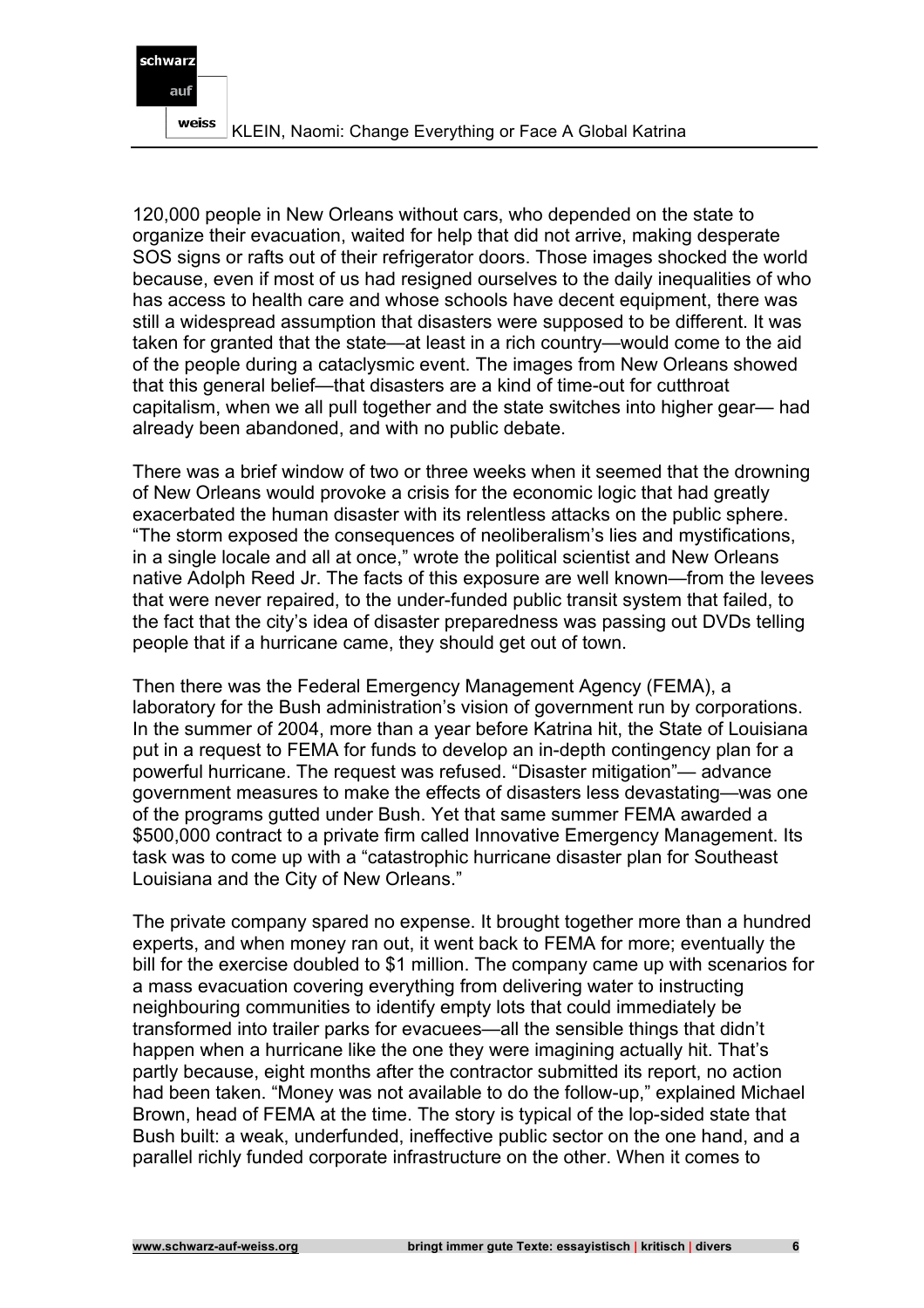

120,000 people in New Orleans without cars, who depended on the state to organize their evacuation, waited for help that did not arrive, making desperate SOS signs or rafts out of their refrigerator doors. Those images shocked the world because, even if most of us had resigned ourselves to the daily inequalities of who has access to health care and whose schools have decent equipment, there was still a widespread assumption that disasters were supposed to be different. It was taken for granted that the state—at least in a rich country—would come to the aid of the people during a cataclysmic event. The images from New Orleans showed that this general belief—that disasters are a kind of time-out for cutthroat capitalism, when we all pull together and the state switches into higher gear— had already been abandoned, and with no public debate.

There was a brief window of two or three weeks when it seemed that the drowning of New Orleans would provoke a crisis for the economic logic that had greatly exacerbated the human disaster with its relentless attacks on the public sphere. "The storm exposed the consequences of neoliberalism's lies and mystifications, in a single locale and all at once," wrote the political scientist and New Orleans native Adolph Reed Jr. The facts of this exposure are well known—from the levees that were never repaired, to the under-funded public transit system that failed, to the fact that the city's idea of disaster preparedness was passing out DVDs telling people that if a hurricane came, they should get out of town.

Then there was the Federal Emergency Management Agency (FEMA), a laboratory for the Bush administration's vision of government run by corporations. In the summer of 2004, more than a year before Katrina hit, the State of Louisiana put in a request to FEMA for funds to develop an in-depth contingency plan for a powerful hurricane. The request was refused. "Disaster mitigation"— advance government measures to make the effects of disasters less devastating—was one of the programs gutted under Bush. Yet that same summer FEMA awarded a \$500,000 contract to a private firm called Innovative Emergency Management. Its task was to come up with a "catastrophic hurricane disaster plan for Southeast Louisiana and the City of New Orleans."

The private company spared no expense. It brought together more than a hundred experts, and when money ran out, it went back to FEMA for more; eventually the bill for the exercise doubled to \$1 million. The company came up with scenarios for a mass evacuation covering everything from delivering water to instructing neighbouring communities to identify empty lots that could immediately be transformed into trailer parks for evacuees—all the sensible things that didn't happen when a hurricane like the one they were imagining actually hit. That's partly because, eight months after the contractor submitted its report, no action had been taken. "Money was not available to do the follow-up," explained Michael Brown, head of FEMA at the time. The story is typical of the lop-sided state that Bush built: a weak, underfunded, ineffective public sector on the one hand, and a parallel richly funded corporate infrastructure on the other. When it comes to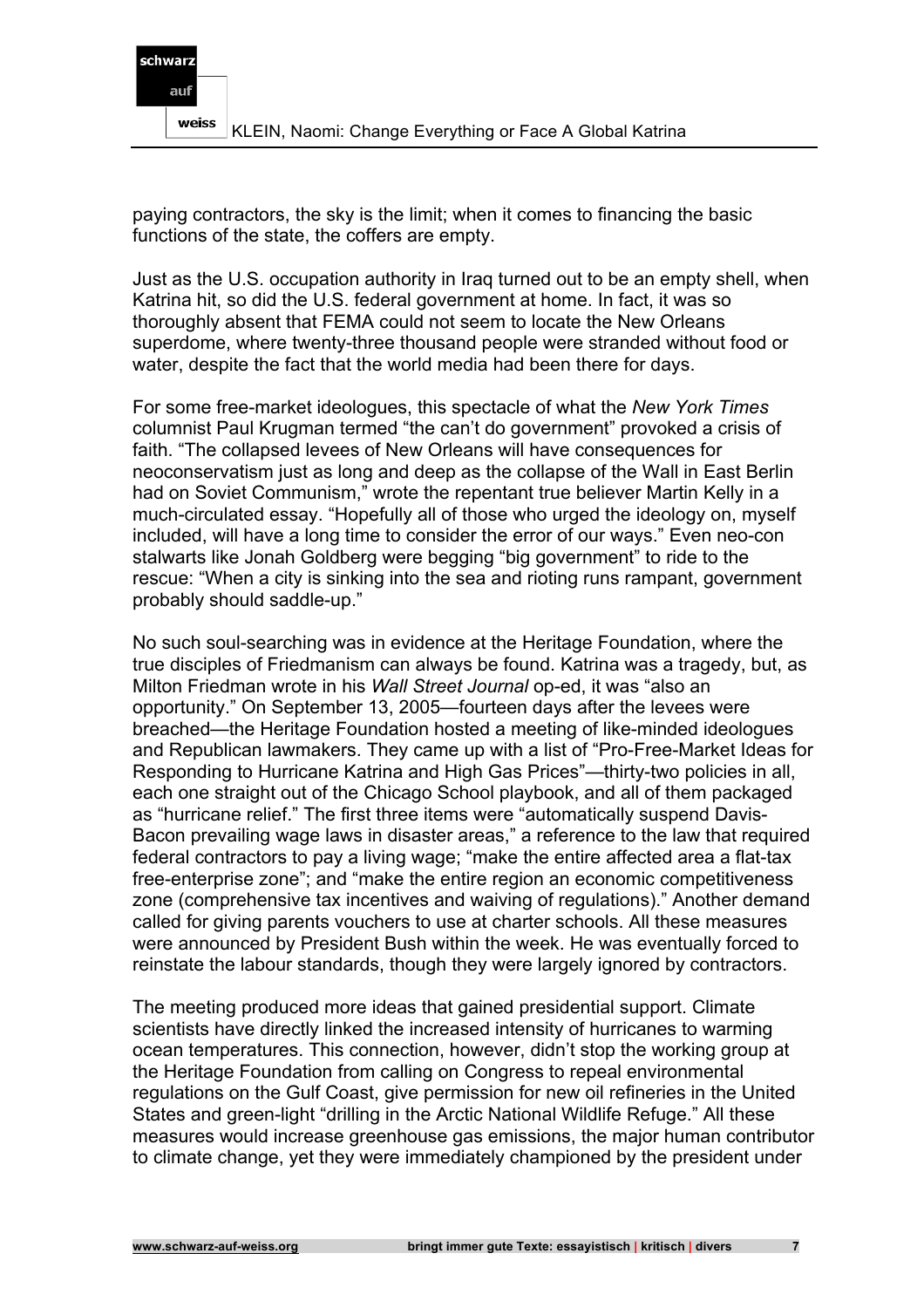

paying contractors, the sky is the limit; when it comes to financing the basic functions of the state, the coffers are empty.

Just as the U.S. occupation authority in Iraq turned out to be an empty shell, when Katrina hit, so did the U.S. federal government at home. In fact, it was so thoroughly absent that FEMA could not seem to locate the New Orleans superdome, where twenty-three thousand people were stranded without food or water, despite the fact that the world media had been there for days.

For some free-market ideologues, this spectacle of what the *New York Times* columnist Paul Krugman termed "the can't do government" provoked a crisis of faith. "The collapsed levees of New Orleans will have consequences for neoconservatism just as long and deep as the collapse of the Wall in East Berlin had on Soviet Communism," wrote the repentant true believer Martin Kelly in a much-circulated essay. "Hopefully all of those who urged the ideology on, myself included, will have a long time to consider the error of our ways." Even neo-con stalwarts like Jonah Goldberg were begging "big government" to ride to the rescue: "When a city is sinking into the sea and rioting runs rampant, government probably should saddle-up."

No such soul-searching was in evidence at the Heritage Foundation, where the true disciples of Friedmanism can always be found. Katrina was a tragedy, but, as Milton Friedman wrote in his *Wall Street Journal* op-ed, it was "also an opportunity." On September 13, 2005—fourteen days after the levees were breached—the Heritage Foundation hosted a meeting of like-minded ideologues and Republican lawmakers. They came up with a list of "Pro-Free-Market Ideas for Responding to Hurricane Katrina and High Gas Prices"—thirty-two policies in all, each one straight out of the Chicago School playbook, and all of them packaged as "hurricane relief." The first three items were "automatically suspend Davis-Bacon prevailing wage laws in disaster areas," a reference to the law that required federal contractors to pay a living wage; "make the entire affected area a flat-tax free-enterprise zone"; and "make the entire region an economic competitiveness zone (comprehensive tax incentives and waiving of regulations)." Another demand called for giving parents vouchers to use at charter schools. All these measures were announced by President Bush within the week. He was eventually forced to reinstate the labour standards, though they were largely ignored by contractors.

The meeting produced more ideas that gained presidential support. Climate scientists have directly linked the increased intensity of hurricanes to warming ocean temperatures. This connection, however, didn't stop the working group at the Heritage Foundation from calling on Congress to repeal environmental regulations on the Gulf Coast, give permission for new oil refineries in the United States and green-light "drilling in the Arctic National Wildlife Refuge." All these measures would increase greenhouse gas emissions, the major human contributor to climate change, yet they were immediately championed by the president under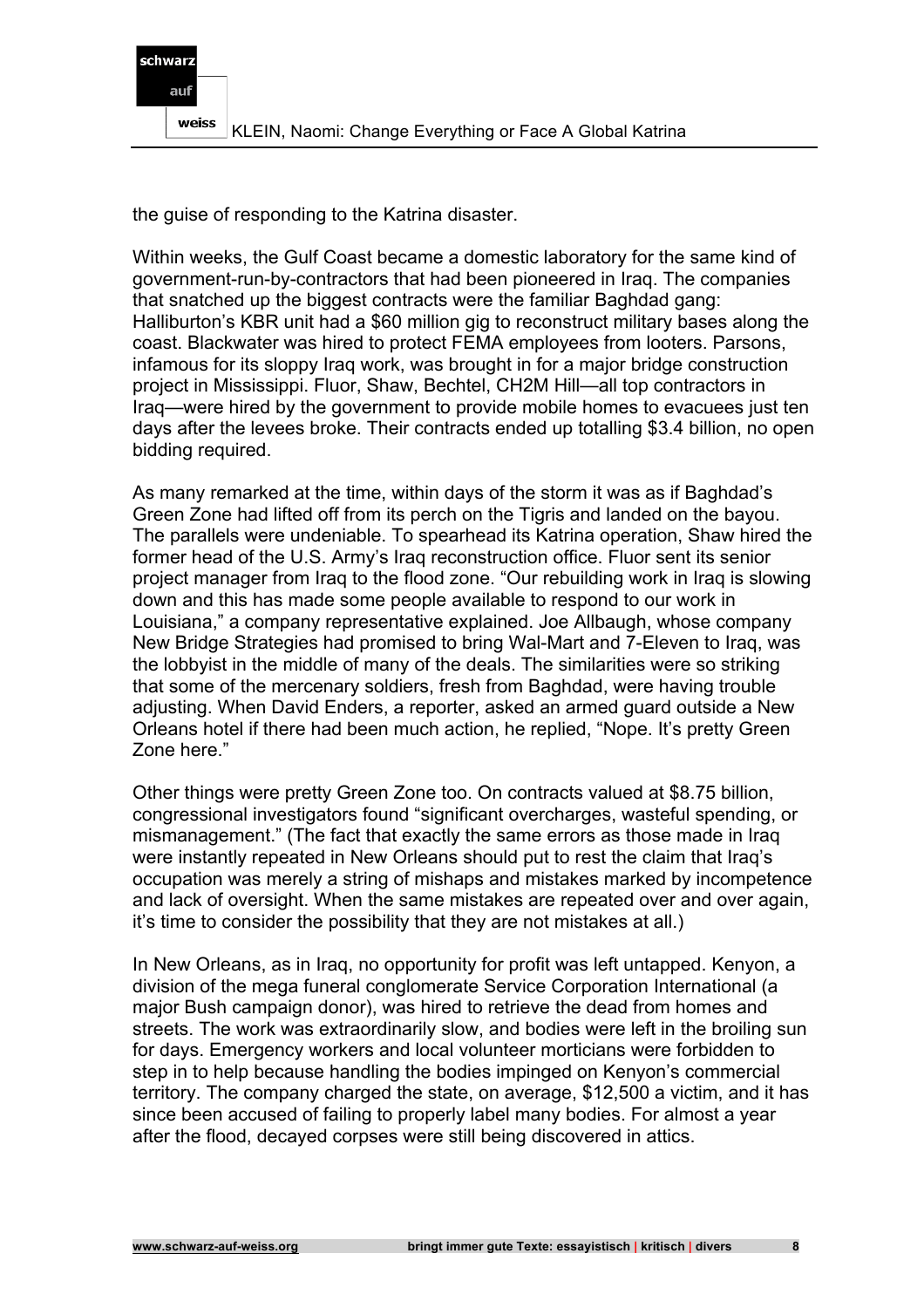

the guise of responding to the Katrina disaster.

Within weeks, the Gulf Coast became a domestic laboratory for the same kind of government-run-by-contractors that had been pioneered in Iraq. The companies that snatched up the biggest contracts were the familiar Baghdad gang: Halliburton's KBR unit had a \$60 million gig to reconstruct military bases along the coast. Blackwater was hired to protect FEMA employees from looters. Parsons, infamous for its sloppy Iraq work, was brought in for a major bridge construction project in Mississippi. Fluor, Shaw, Bechtel, CH2M Hill—all top contractors in Iraq—were hired by the government to provide mobile homes to evacuees just ten days after the levees broke. Their contracts ended up totalling \$3.4 billion, no open bidding required.

As many remarked at the time, within days of the storm it was as if Baghdad's Green Zone had lifted off from its perch on the Tigris and landed on the bayou. The parallels were undeniable. To spearhead its Katrina operation, Shaw hired the former head of the U.S. Army's Iraq reconstruction office. Fluor sent its senior project manager from Iraq to the flood zone. "Our rebuilding work in Iraq is slowing down and this has made some people available to respond to our work in Louisiana," a company representative explained. Joe Allbaugh, whose company New Bridge Strategies had promised to bring Wal-Mart and 7-Eleven to Iraq, was the lobbyist in the middle of many of the deals. The similarities were so striking that some of the mercenary soldiers, fresh from Baghdad, were having trouble adjusting. When David Enders, a reporter, asked an armed guard outside a New Orleans hotel if there had been much action, he replied, "Nope. It's pretty Green Zone here."

Other things were pretty Green Zone too. On contracts valued at \$8.75 billion, congressional investigators found "significant overcharges, wasteful spending, or mismanagement." (The fact that exactly the same errors as those made in Iraq were instantly repeated in New Orleans should put to rest the claim that Iraq's occupation was merely a string of mishaps and mistakes marked by incompetence and lack of oversight. When the same mistakes are repeated over and over again, it's time to consider the possibility that they are not mistakes at all.)

In New Orleans, as in Iraq, no opportunity for profit was left untapped. Kenyon, a division of the mega funeral conglomerate Service Corporation International (a major Bush campaign donor), was hired to retrieve the dead from homes and streets. The work was extraordinarily slow, and bodies were left in the broiling sun for days. Emergency workers and local volunteer morticians were forbidden to step in to help because handling the bodies impinged on Kenyon's commercial territory. The company charged the state, on average, \$12,500 a victim, and it has since been accused of failing to properly label many bodies. For almost a year after the flood, decayed corpses were still being discovered in attics.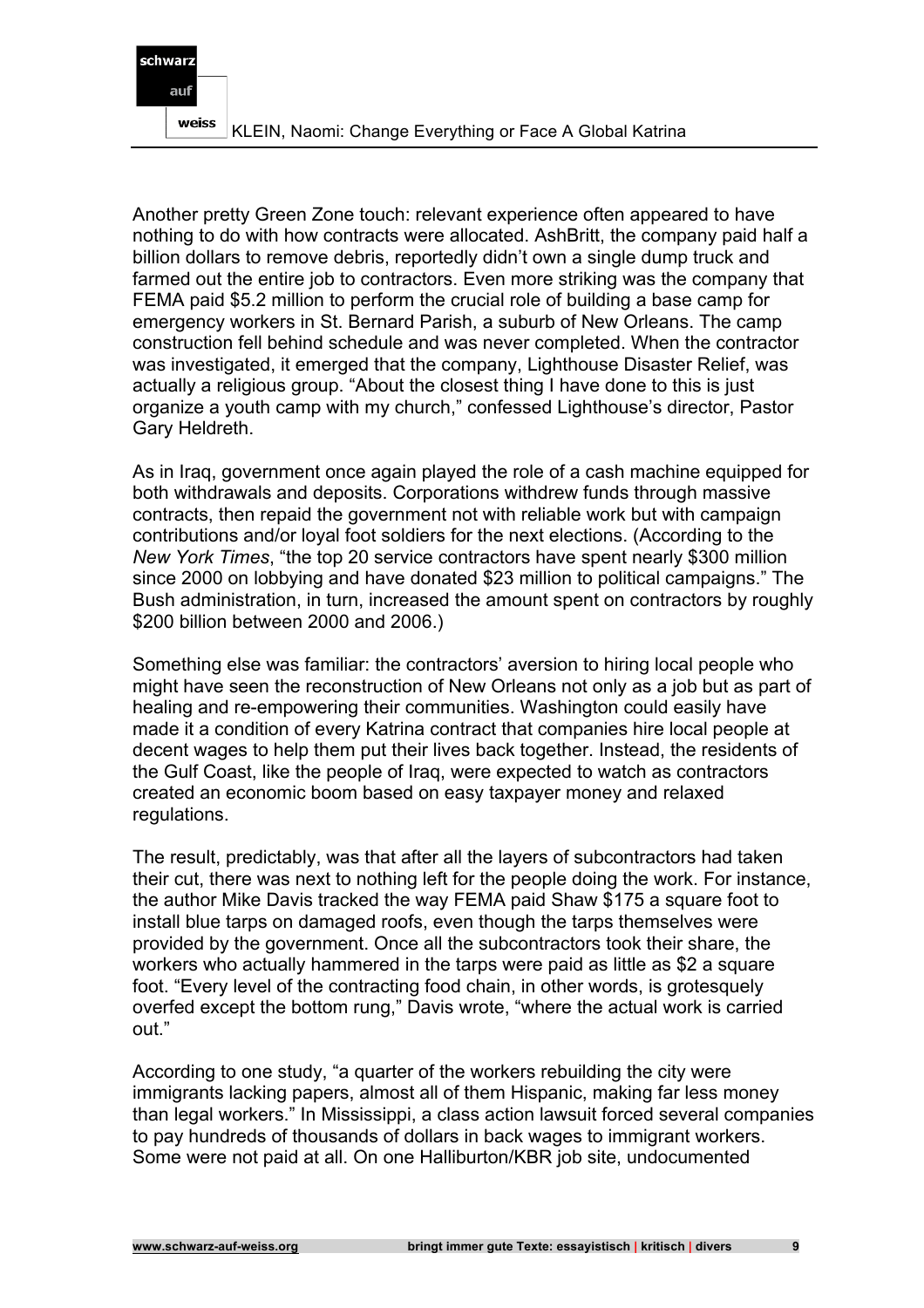

Another pretty Green Zone touch: relevant experience often appeared to have nothing to do with how contracts were allocated. AshBritt, the company paid half a billion dollars to remove debris, reportedly didn't own a single dump truck and farmed out the entire job to contractors. Even more striking was the company that FEMA paid \$5.2 million to perform the crucial role of building a base camp for emergency workers in St. Bernard Parish, a suburb of New Orleans. The camp construction fell behind schedule and was never completed. When the contractor was investigated, it emerged that the company, Lighthouse Disaster Relief, was actually a religious group. "About the closest thing I have done to this is just organize a youth camp with my church," confessed Lighthouse's director, Pastor Gary Heldreth.

As in Iraq, government once again played the role of a cash machine equipped for both withdrawals and deposits. Corporations withdrew funds through massive contracts, then repaid the government not with reliable work but with campaign contributions and/or loyal foot soldiers for the next elections. (According to the *New York Times*, "the top 20 service contractors have spent nearly \$300 million since 2000 on lobbying and have donated \$23 million to political campaigns." The Bush administration, in turn, increased the amount spent on contractors by roughly \$200 billion between 2000 and 2006.)

Something else was familiar: the contractors' aversion to hiring local people who might have seen the reconstruction of New Orleans not only as a job but as part of healing and re-empowering their communities. Washington could easily have made it a condition of every Katrina contract that companies hire local people at decent wages to help them put their lives back together. Instead, the residents of the Gulf Coast, like the people of Iraq, were expected to watch as contractors created an economic boom based on easy taxpayer money and relaxed regulations.

The result, predictably, was that after all the layers of subcontractors had taken their cut, there was next to nothing left for the people doing the work. For instance, the author Mike Davis tracked the way FEMA paid Shaw \$175 a square foot to install blue tarps on damaged roofs, even though the tarps themselves were provided by the government. Once all the subcontractors took their share, the workers who actually hammered in the tarps were paid as little as \$2 a square foot. "Every level of the contracting food chain, in other words, is grotesquely overfed except the bottom rung," Davis wrote, "where the actual work is carried out."

According to one study, "a quarter of the workers rebuilding the city were immigrants lacking papers, almost all of them Hispanic, making far less money than legal workers." In Mississippi, a class action lawsuit forced several companies to pay hundreds of thousands of dollars in back wages to immigrant workers. Some were not paid at all. On one Halliburton/KBR job site, undocumented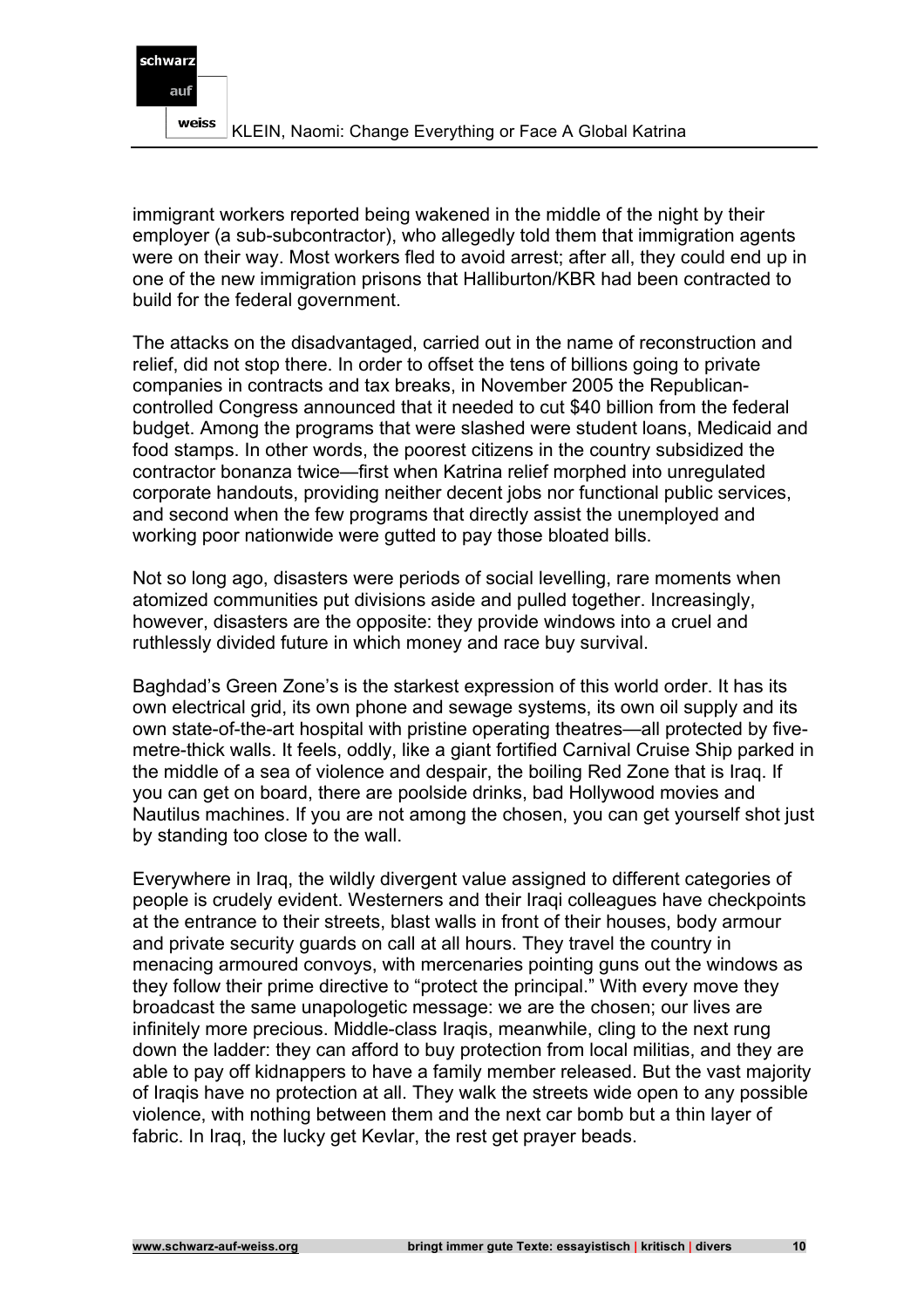

immigrant workers reported being wakened in the middle of the night by their employer (a sub-subcontractor), who allegedly told them that immigration agents were on their way. Most workers fled to avoid arrest; after all, they could end up in one of the new immigration prisons that Halliburton/KBR had been contracted to build for the federal government.

The attacks on the disadvantaged, carried out in the name of reconstruction and relief, did not stop there. In order to offset the tens of billions going to private companies in contracts and tax breaks, in November 2005 the Republicancontrolled Congress announced that it needed to cut \$40 billion from the federal budget. Among the programs that were slashed were student loans, Medicaid and food stamps. In other words, the poorest citizens in the country subsidized the contractor bonanza twice—first when Katrina relief morphed into unregulated corporate handouts, providing neither decent jobs nor functional public services, and second when the few programs that directly assist the unemployed and working poor nationwide were gutted to pay those bloated bills.

Not so long ago, disasters were periods of social levelling, rare moments when atomized communities put divisions aside and pulled together. Increasingly, however, disasters are the opposite: they provide windows into a cruel and ruthlessly divided future in which money and race buy survival.

Baghdad's Green Zone's is the starkest expression of this world order. It has its own electrical grid, its own phone and sewage systems, its own oil supply and its own state-of-the-art hospital with pristine operating theatres—all protected by fivemetre-thick walls. It feels, oddly, like a giant fortified Carnival Cruise Ship parked in the middle of a sea of violence and despair, the boiling Red Zone that is Iraq. If you can get on board, there are poolside drinks, bad Hollywood movies and Nautilus machines. If you are not among the chosen, you can get yourself shot just by standing too close to the wall.

Everywhere in Iraq, the wildly divergent value assigned to different categories of people is crudely evident. Westerners and their Iraqi colleagues have checkpoints at the entrance to their streets, blast walls in front of their houses, body armour and private security guards on call at all hours. They travel the country in menacing armoured convoys, with mercenaries pointing guns out the windows as they follow their prime directive to "protect the principal." With every move they broadcast the same unapologetic message: we are the chosen; our lives are infinitely more precious. Middle-class Iraqis, meanwhile, cling to the next rung down the ladder: they can afford to buy protection from local militias, and they are able to pay off kidnappers to have a family member released. But the vast majority of Iraqis have no protection at all. They walk the streets wide open to any possible violence, with nothing between them and the next car bomb but a thin layer of fabric. In Iraq, the lucky get Kevlar, the rest get prayer beads.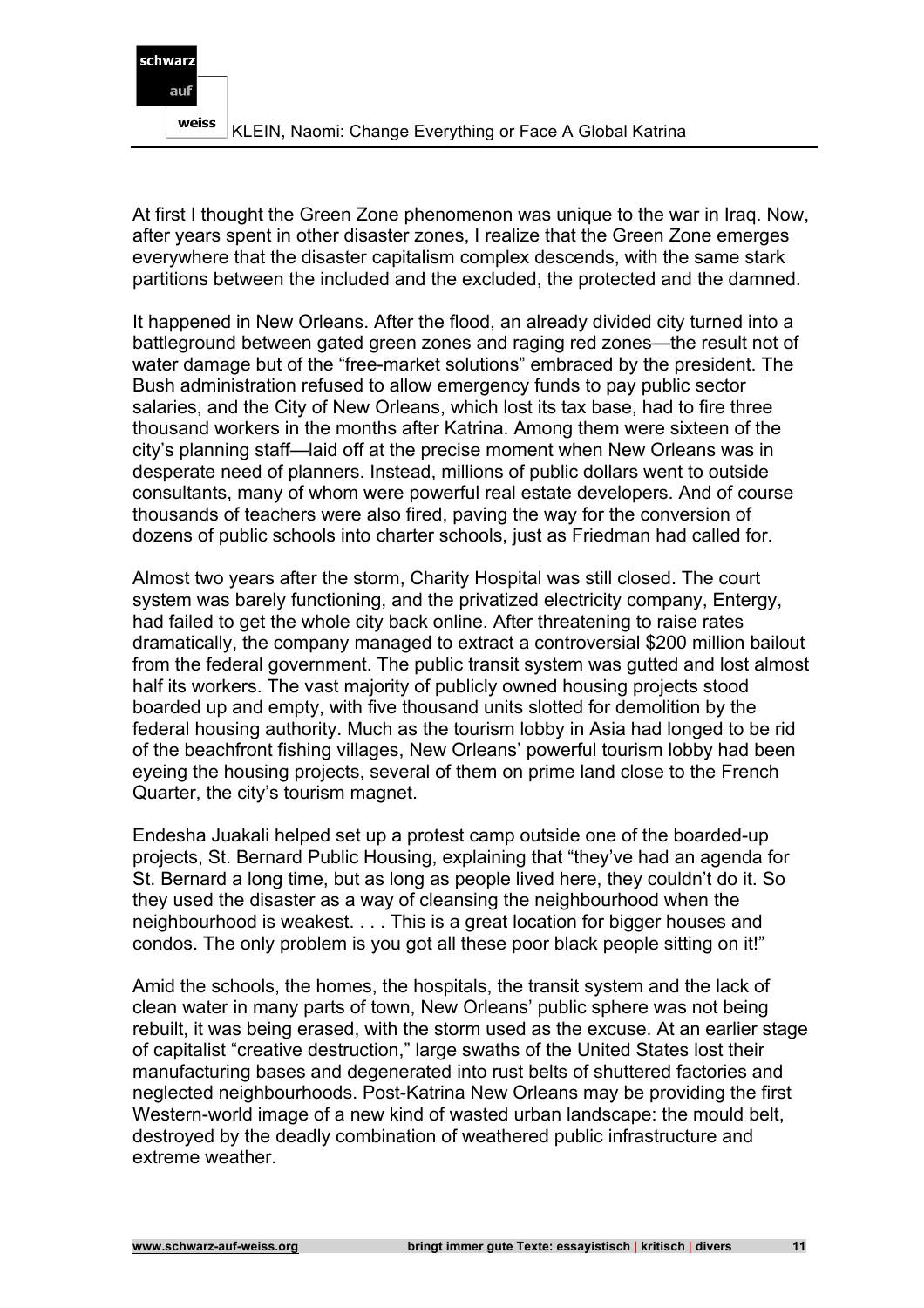

At first I thought the Green Zone phenomenon was unique to the war in Iraq. Now, after years spent in other disaster zones, I realize that the Green Zone emerges everywhere that the disaster capitalism complex descends, with the same stark partitions between the included and the excluded, the protected and the damned.

It happened in New Orleans. After the flood, an already divided city turned into a battleground between gated green zones and raging red zones—the result not of water damage but of the "free-market solutions" embraced by the president. The Bush administration refused to allow emergency funds to pay public sector salaries, and the City of New Orleans, which lost its tax base, had to fire three thousand workers in the months after Katrina. Among them were sixteen of the city's planning staff—laid off at the precise moment when New Orleans was in desperate need of planners. Instead, millions of public dollars went to outside consultants, many of whom were powerful real estate developers. And of course thousands of teachers were also fired, paving the way for the conversion of dozens of public schools into charter schools, just as Friedman had called for.

Almost two years after the storm, Charity Hospital was still closed. The court system was barely functioning, and the privatized electricity company, Entergy, had failed to get the whole city back online. After threatening to raise rates dramatically, the company managed to extract a controversial \$200 million bailout from the federal government. The public transit system was gutted and lost almost half its workers. The vast majority of publicly owned housing projects stood boarded up and empty, with five thousand units slotted for demolition by the federal housing authority. Much as the tourism lobby in Asia had longed to be rid of the beachfront fishing villages, New Orleans' powerful tourism lobby had been eyeing the housing projects, several of them on prime land close to the French Quarter, the city's tourism magnet.

Endesha Juakali helped set up a protest camp outside one of the boarded-up projects, St. Bernard Public Housing, explaining that "they've had an agenda for St. Bernard a long time, but as long as people lived here, they couldn't do it. So they used the disaster as a way of cleansing the neighbourhood when the neighbourhood is weakest. . . . This is a great location for bigger houses and condos. The only problem is you got all these poor black people sitting on it!"

Amid the schools, the homes, the hospitals, the transit system and the lack of clean water in many parts of town, New Orleans' public sphere was not being rebuilt, it was being erased, with the storm used as the excuse. At an earlier stage of capitalist "creative destruction," large swaths of the United States lost their manufacturing bases and degenerated into rust belts of shuttered factories and neglected neighbourhoods. Post-Katrina New Orleans may be providing the first Western-world image of a new kind of wasted urban landscape: the mould belt, destroyed by the deadly combination of weathered public infrastructure and extreme weather.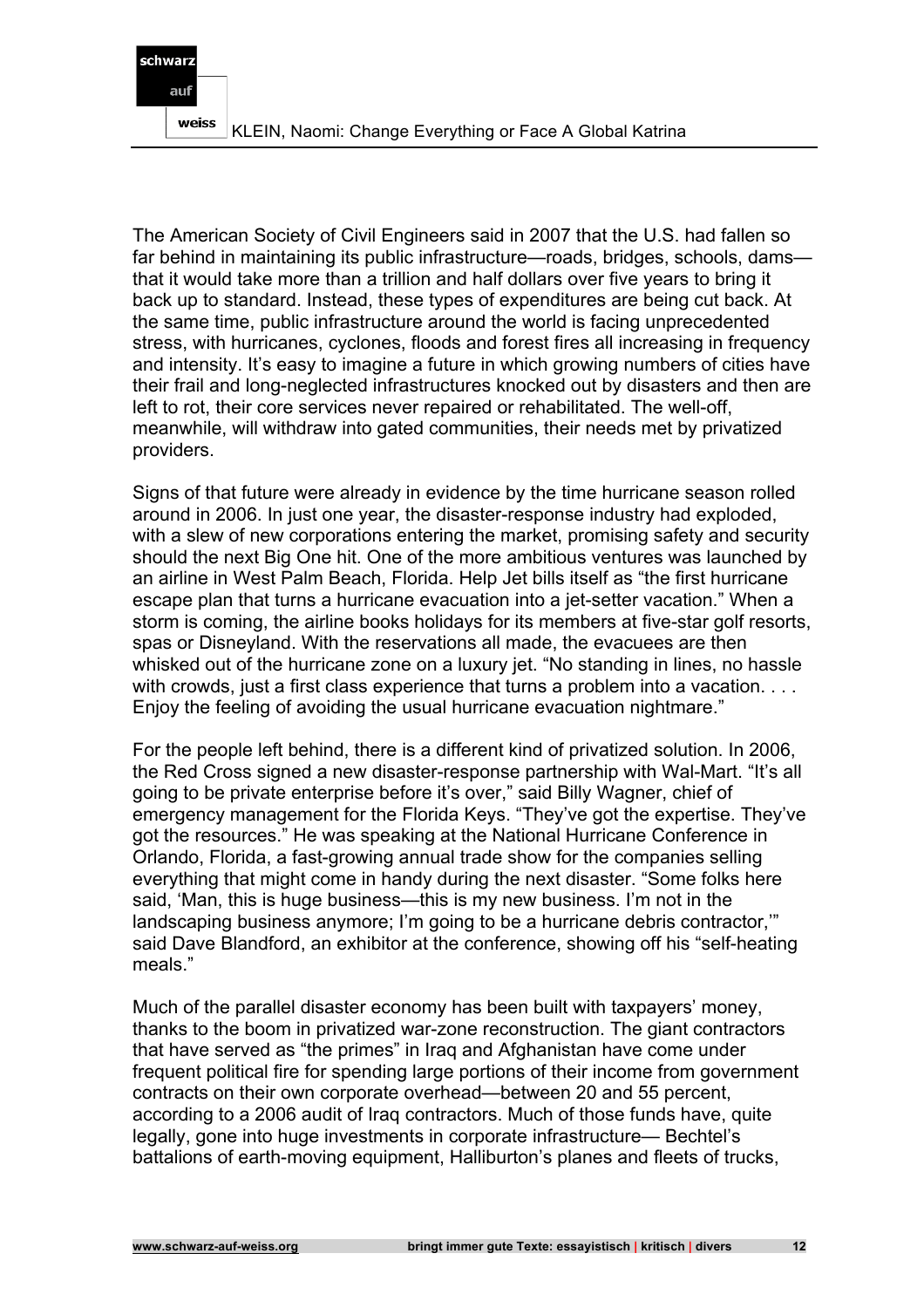

The American Society of Civil Engineers said in 2007 that the U.S. had fallen so far behind in maintaining its public infrastructure—roads, bridges, schools, dams that it would take more than a trillion and half dollars over five years to bring it back up to standard. Instead, these types of expenditures are being cut back. At the same time, public infrastructure around the world is facing unprecedented stress, with hurricanes, cyclones, floods and forest fires all increasing in frequency and intensity. It's easy to imagine a future in which growing numbers of cities have their frail and long-neglected infrastructures knocked out by disasters and then are left to rot, their core services never repaired or rehabilitated. The well-off, meanwhile, will withdraw into gated communities, their needs met by privatized providers.

Signs of that future were already in evidence by the time hurricane season rolled around in 2006. In just one year, the disaster-response industry had exploded, with a slew of new corporations entering the market, promising safety and security should the next Big One hit. One of the more ambitious ventures was launched by an airline in West Palm Beach, Florida. Help Jet bills itself as "the first hurricane escape plan that turns a hurricane evacuation into a jet-setter vacation." When a storm is coming, the airline books holidays for its members at five-star golf resorts, spas or Disneyland. With the reservations all made, the evacuees are then whisked out of the hurricane zone on a luxury jet. "No standing in lines, no hassle with crowds, just a first class experience that turns a problem into a vacation. . . . Enjoy the feeling of avoiding the usual hurricane evacuation nightmare."

For the people left behind, there is a different kind of privatized solution. In 2006, the Red Cross signed a new disaster-response partnership with Wal-Mart. "It's all going to be private enterprise before it's over," said Billy Wagner, chief of emergency management for the Florida Keys. "They've got the expertise. They've got the resources." He was speaking at the National Hurricane Conference in Orlando, Florida, a fast-growing annual trade show for the companies selling everything that might come in handy during the next disaster. "Some folks here said, 'Man, this is huge business—this is my new business. I'm not in the landscaping business anymore; I'm going to be a hurricane debris contractor,'" said Dave Blandford, an exhibitor at the conference, showing off his "self-heating meals."

Much of the parallel disaster economy has been built with taxpayers' money, thanks to the boom in privatized war-zone reconstruction. The giant contractors that have served as "the primes" in Iraq and Afghanistan have come under frequent political fire for spending large portions of their income from government contracts on their own corporate overhead—between 20 and 55 percent, according to a 2006 audit of Iraq contractors. Much of those funds have, quite legally, gone into huge investments in corporate infrastructure— Bechtel's battalions of earth-moving equipment, Halliburton's planes and fleets of trucks,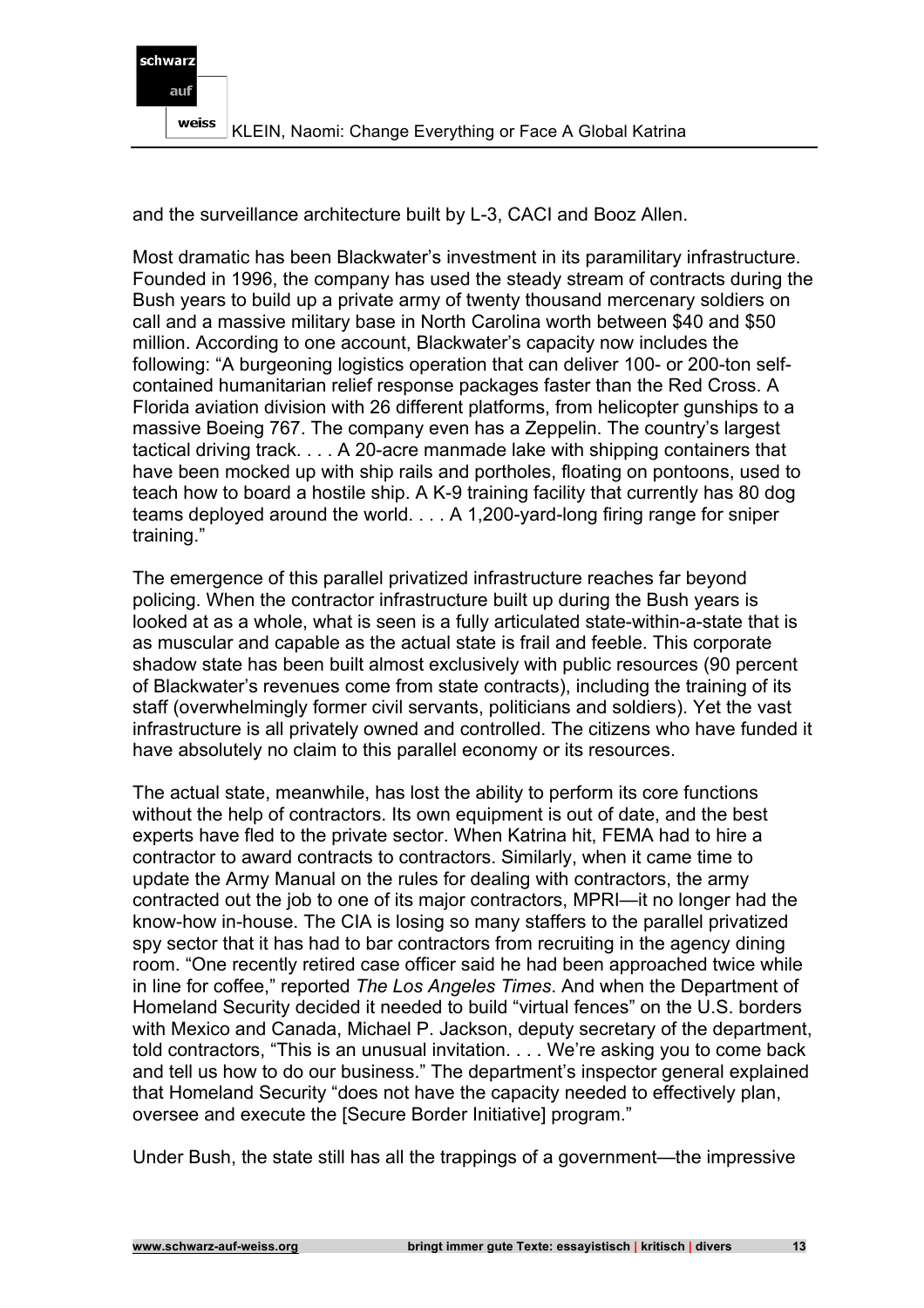

and the surveillance architecture built by L-3, CACI and Booz Allen.

Most dramatic has been Blackwater's investment in its paramilitary infrastructure. Founded in 1996, the company has used the steady stream of contracts during the Bush years to build up a private army of twenty thousand mercenary soldiers on call and a massive military base in North Carolina worth between \$40 and \$50 million. According to one account, Blackwater's capacity now includes the following: "A burgeoning logistics operation that can deliver 100- or 200-ton selfcontained humanitarian relief response packages faster than the Red Cross. A Florida aviation division with 26 different platforms, from helicopter gunships to a massive Boeing 767. The company even has a Zeppelin. The country's largest tactical driving track. . . . A 20-acre manmade lake with shipping containers that have been mocked up with ship rails and portholes, floating on pontoons, used to teach how to board a hostile ship. A K-9 training facility that currently has 80 dog teams deployed around the world. . . . A 1,200-yard-long firing range for sniper training."

The emergence of this parallel privatized infrastructure reaches far beyond policing. When the contractor infrastructure built up during the Bush years is looked at as a whole, what is seen is a fully articulated state-within-a-state that is as muscular and capable as the actual state is frail and feeble. This corporate shadow state has been built almost exclusively with public resources (90 percent of Blackwater's revenues come from state contracts), including the training of its staff (overwhelmingly former civil servants, politicians and soldiers). Yet the vast infrastructure is all privately owned and controlled. The citizens who have funded it have absolutely no claim to this parallel economy or its resources.

The actual state, meanwhile, has lost the ability to perform its core functions without the help of contractors. Its own equipment is out of date, and the best experts have fled to the private sector. When Katrina hit, FEMA had to hire a contractor to award contracts to contractors. Similarly, when it came time to update the Army Manual on the rules for dealing with contractors, the army contracted out the job to one of its major contractors, MPRI—it no longer had the know-how in-house. The CIA is losing so many staffers to the parallel privatized spy sector that it has had to bar contractors from recruiting in the agency dining room. "One recently retired case officer said he had been approached twice while in line for coffee," reported *The Los Angeles Times*. And when the Department of Homeland Security decided it needed to build "virtual fences" on the U.S. borders with Mexico and Canada, Michael P. Jackson, deputy secretary of the department, told contractors, "This is an unusual invitation. . . . We're asking you to come back and tell us how to do our business." The department's inspector general explained that Homeland Security "does not have the capacity needed to effectively plan, oversee and execute the [Secure Border Initiative] program."

Under Bush, the state still has all the trappings of a government—the impressive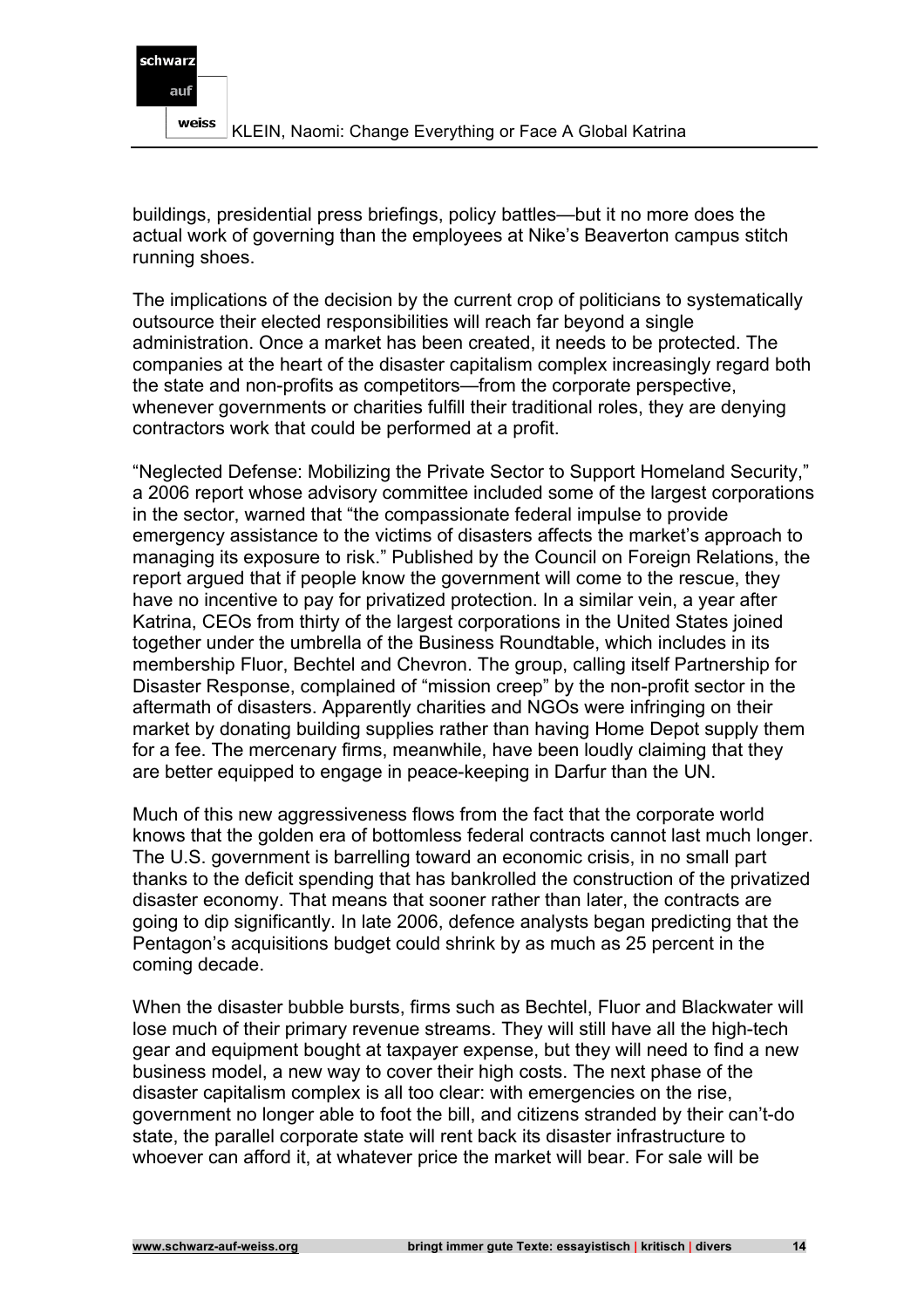

buildings, presidential press briefings, policy battles—but it no more does the actual work of governing than the employees at Nike's Beaverton campus stitch running shoes.

The implications of the decision by the current crop of politicians to systematically outsource their elected responsibilities will reach far beyond a single administration. Once a market has been created, it needs to be protected. The companies at the heart of the disaster capitalism complex increasingly regard both the state and non-profits as competitors—from the corporate perspective, whenever governments or charities fulfill their traditional roles, they are denying contractors work that could be performed at a profit.

"Neglected Defense: Mobilizing the Private Sector to Support Homeland Security," a 2006 report whose advisory committee included some of the largest corporations in the sector, warned that "the compassionate federal impulse to provide emergency assistance to the victims of disasters affects the market's approach to managing its exposure to risk." Published by the Council on Foreign Relations, the report argued that if people know the government will come to the rescue, they have no incentive to pay for privatized protection. In a similar vein, a year after Katrina, CEOs from thirty of the largest corporations in the United States joined together under the umbrella of the Business Roundtable, which includes in its membership Fluor, Bechtel and Chevron. The group, calling itself Partnership for Disaster Response, complained of "mission creep" by the non-profit sector in the aftermath of disasters. Apparently charities and NGOs were infringing on their market by donating building supplies rather than having Home Depot supply them for a fee. The mercenary firms, meanwhile, have been loudly claiming that they are better equipped to engage in peace-keeping in Darfur than the UN.

Much of this new aggressiveness flows from the fact that the corporate world knows that the golden era of bottomless federal contracts cannot last much longer. The U.S. government is barrelling toward an economic crisis, in no small part thanks to the deficit spending that has bankrolled the construction of the privatized disaster economy. That means that sooner rather than later, the contracts are going to dip significantly. In late 2006, defence analysts began predicting that the Pentagon's acquisitions budget could shrink by as much as 25 percent in the coming decade.

When the disaster bubble bursts, firms such as Bechtel, Fluor and Blackwater will lose much of their primary revenue streams. They will still have all the high-tech gear and equipment bought at taxpayer expense, but they will need to find a new business model, a new way to cover their high costs. The next phase of the disaster capitalism complex is all too clear: with emergencies on the rise, government no longer able to foot the bill, and citizens stranded by their can't-do state, the parallel corporate state will rent back its disaster infrastructure to whoever can afford it, at whatever price the market will bear. For sale will be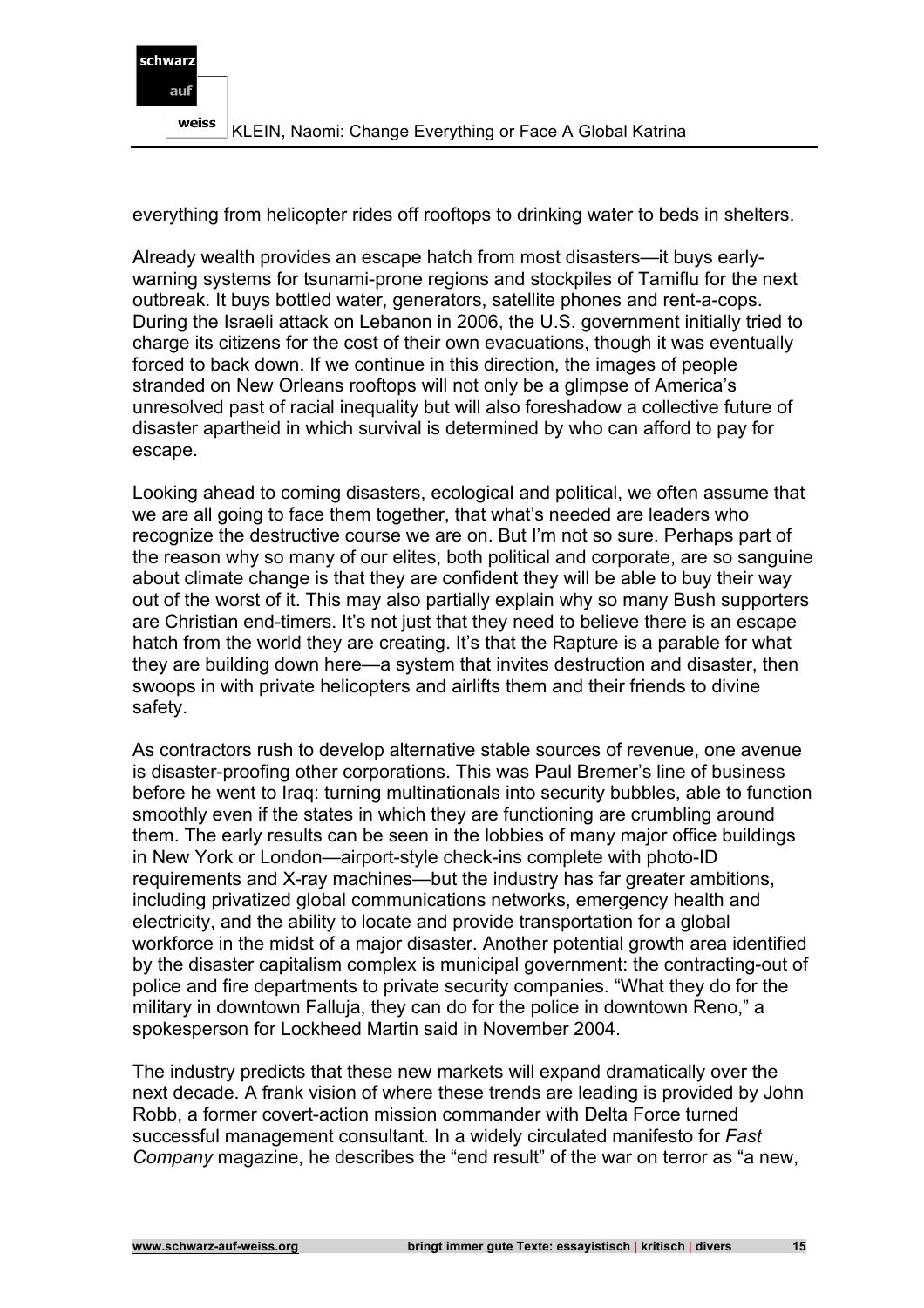

everything from helicopter rides off rooftops to drinking water to beds in shelters.

Already wealth provides an escape hatch from most disasters—it buys earlywarning systems for tsunami-prone regions and stockpiles of Tamiflu for the next outbreak. It buys bottled water, generators, satellite phones and rent-a-cops. During the Israeli attack on Lebanon in 2006, the U.S. government initially tried to charge its citizens for the cost of their own evacuations, though it was eventually forced to back down. If we continue in this direction, the images of people stranded on New Orleans rooftops will not only be a glimpse of America's unresolved past of racial inequality but will also foreshadow a collective future of disaster apartheid in which survival is determined by who can afford to pay for escape.

Looking ahead to coming disasters, ecological and political, we often assume that we are all going to face them together, that what's needed are leaders who recognize the destructive course we are on. But I'm not so sure. Perhaps part of the reason why so many of our elites, both political and corporate, are so sanguine about climate change is that they are confident they will be able to buy their way out of the worst of it. This may also partially explain why so many Bush supporters are Christian end-timers. It's not just that they need to believe there is an escape hatch from the world they are creating. It's that the Rapture is a parable for what they are building down here—a system that invites destruction and disaster, then swoops in with private helicopters and airlifts them and their friends to divine safety.

As contractors rush to develop alternative stable sources of revenue, one avenue is disaster-proofing other corporations. This was Paul Bremer's line of business before he went to Iraq: turning multinationals into security bubbles, able to function smoothly even if the states in which they are functioning are crumbling around them. The early results can be seen in the lobbies of many major office buildings in New York or London—airport-style check-ins complete with photo-ID requirements and X-ray machines—but the industry has far greater ambitions, including privatized global communications networks, emergency health and electricity, and the ability to locate and provide transportation for a global workforce in the midst of a major disaster. Another potential growth area identified by the disaster capitalism complex is municipal government: the contracting-out of police and fire departments to private security companies. "What they do for the military in downtown Falluja, they can do for the police in downtown Reno," a spokesperson for Lockheed Martin said in November 2004.

The industry predicts that these new markets will expand dramatically over the next decade. A frank vision of where these trends are leading is provided by John Robb, a former covert-action mission commander with Delta Force turned successful management consultant. In a widely circulated manifesto for *Fast Company* magazine, he describes the "end result" of the war on terror as "a new,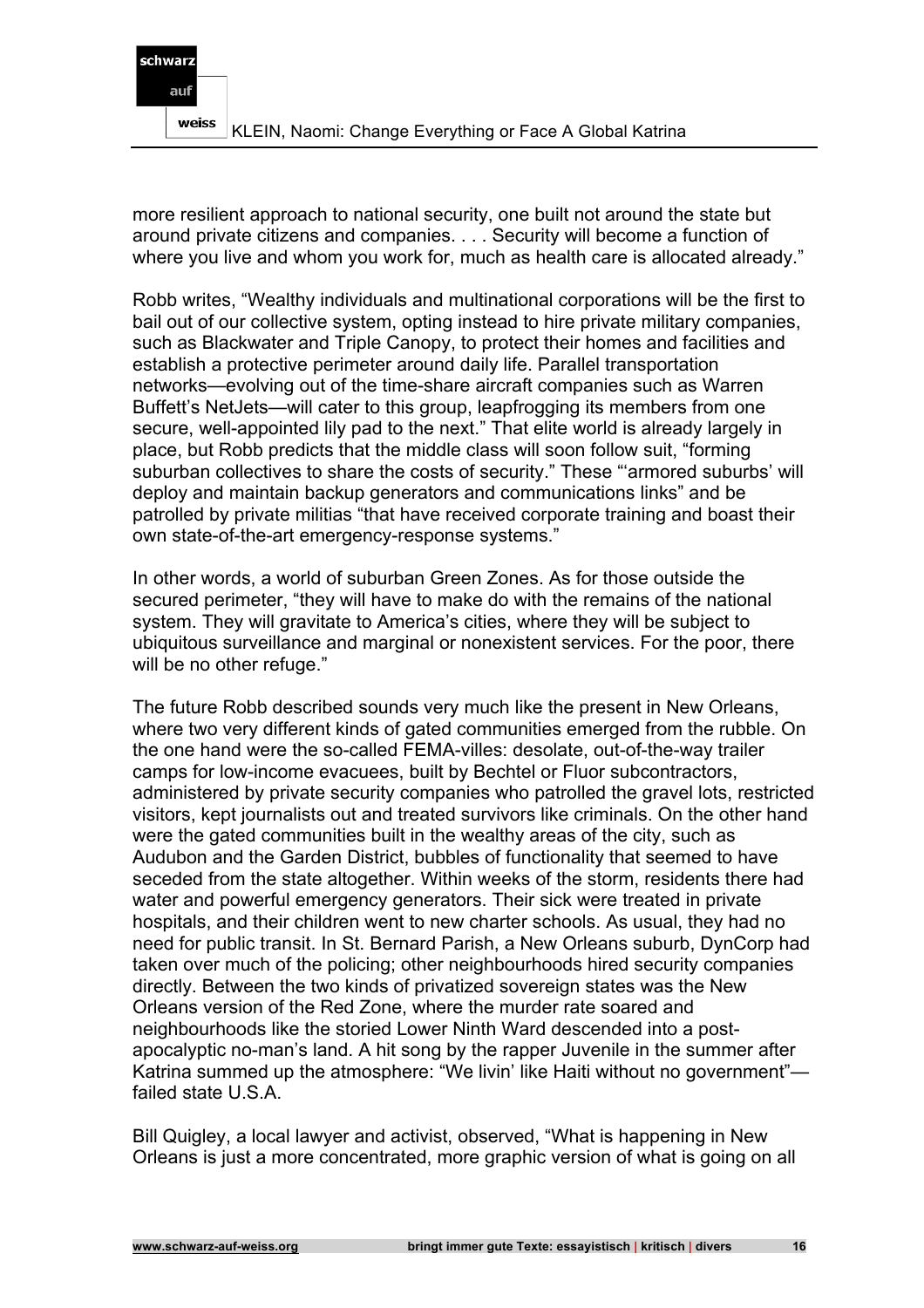

more resilient approach to national security, one built not around the state but around private citizens and companies. . . . Security will become a function of where you live and whom you work for, much as health care is allocated already."

Robb writes, "Wealthy individuals and multinational corporations will be the first to bail out of our collective system, opting instead to hire private military companies, such as Blackwater and Triple Canopy, to protect their homes and facilities and establish a protective perimeter around daily life. Parallel transportation networks—evolving out of the time-share aircraft companies such as Warren Buffett's NetJets—will cater to this group, leapfrogging its members from one secure, well-appointed lily pad to the next." That elite world is already largely in place, but Robb predicts that the middle class will soon follow suit, "forming suburban collectives to share the costs of security." These "'armored suburbs' will deploy and maintain backup generators and communications links" and be patrolled by private militias "that have received corporate training and boast their own state-of-the-art emergency-response systems."

In other words, a world of suburban Green Zones. As for those outside the secured perimeter, "they will have to make do with the remains of the national system. They will gravitate to America's cities, where they will be subject to ubiquitous surveillance and marginal or nonexistent services. For the poor, there will be no other refuge."

The future Robb described sounds very much like the present in New Orleans, where two very different kinds of gated communities emerged from the rubble. On the one hand were the so-called FEMA-villes: desolate, out-of-the-way trailer camps for low-income evacuees, built by Bechtel or Fluor subcontractors, administered by private security companies who patrolled the gravel lots, restricted visitors, kept journalists out and treated survivors like criminals. On the other hand were the gated communities built in the wealthy areas of the city, such as Audubon and the Garden District, bubbles of functionality that seemed to have seceded from the state altogether. Within weeks of the storm, residents there had water and powerful emergency generators. Their sick were treated in private hospitals, and their children went to new charter schools. As usual, they had no need for public transit. In St. Bernard Parish, a New Orleans suburb, DynCorp had taken over much of the policing; other neighbourhoods hired security companies directly. Between the two kinds of privatized sovereign states was the New Orleans version of the Red Zone, where the murder rate soared and neighbourhoods like the storied Lower Ninth Ward descended into a postapocalyptic no-man's land. A hit song by the rapper Juvenile in the summer after Katrina summed up the atmosphere: "We livin' like Haiti without no government"failed state U.S.A.

Bill Quigley, a local lawyer and activist, observed, "What is happening in New Orleans is just a more concentrated, more graphic version of what is going on all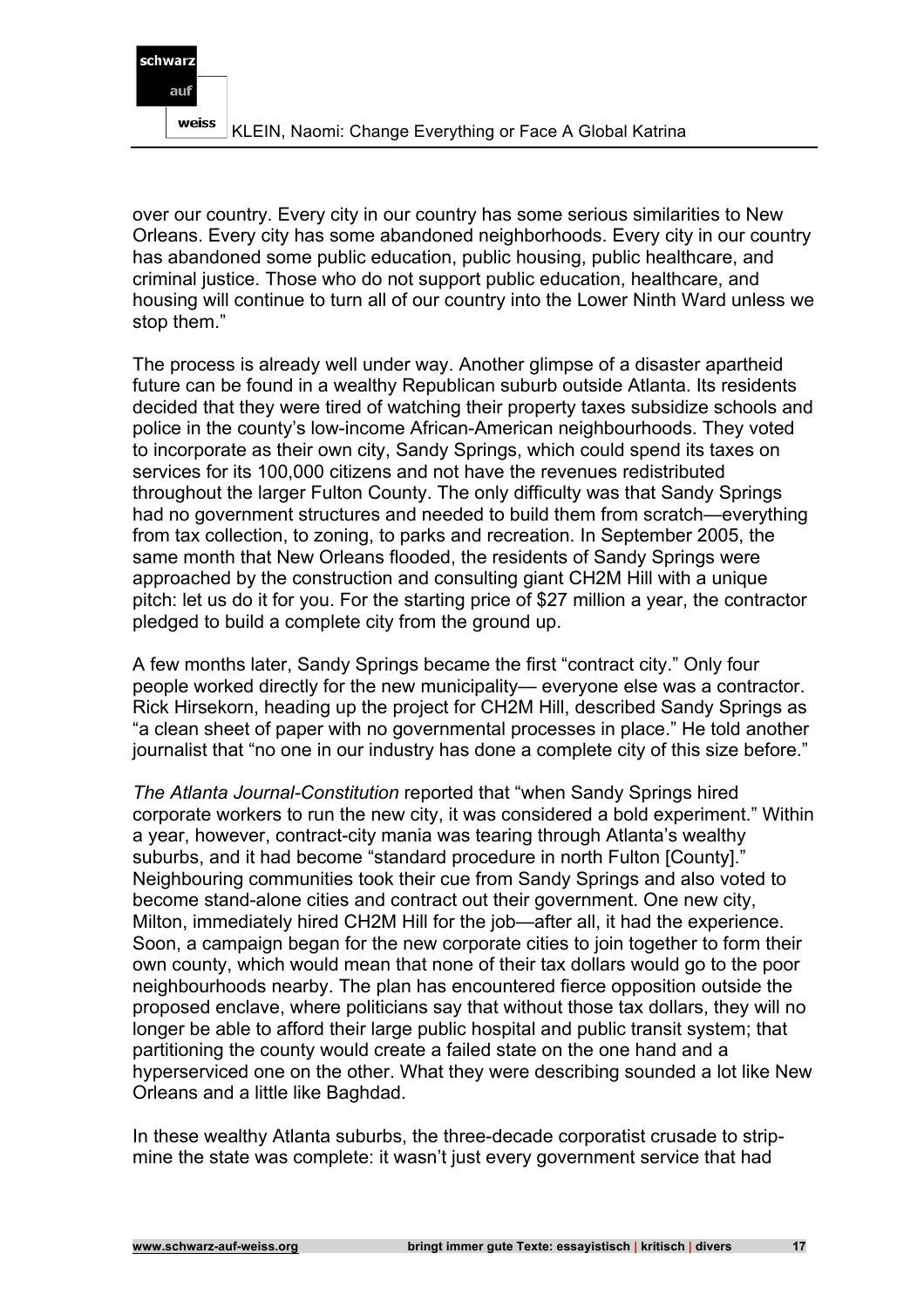

over our country. Every city in our country has some serious similarities to New Orleans. Every city has some abandoned neighborhoods. Every city in our country has abandoned some public education, public housing, public healthcare, and criminal justice. Those who do not support public education, healthcare, and housing will continue to turn all of our country into the Lower Ninth Ward unless we stop them."

The process is already well under way. Another glimpse of a disaster apartheid future can be found in a wealthy Republican suburb outside Atlanta. Its residents decided that they were tired of watching their property taxes subsidize schools and police in the county's low-income African-American neighbourhoods. They voted to incorporate as their own city, Sandy Springs, which could spend its taxes on services for its 100,000 citizens and not have the revenues redistributed throughout the larger Fulton County. The only difficulty was that Sandy Springs had no government structures and needed to build them from scratch—everything from tax collection, to zoning, to parks and recreation. In September 2005, the same month that New Orleans flooded, the residents of Sandy Springs were approached by the construction and consulting giant CH2M Hill with a unique pitch: let us do it for you. For the starting price of \$27 million a year, the contractor pledged to build a complete city from the ground up.

A few months later, Sandy Springs became the first "contract city." Only four people worked directly for the new municipality— everyone else was a contractor. Rick Hirsekorn, heading up the project for CH2M Hill, described Sandy Springs as "a clean sheet of paper with no governmental processes in place." He told another journalist that "no one in our industry has done a complete city of this size before."

*The Atlanta Journal-Constitution* reported that "when Sandy Springs hired corporate workers to run the new city, it was considered a bold experiment." Within a year, however, contract-city mania was tearing through Atlanta's wealthy suburbs, and it had become "standard procedure in north Fulton [County]." Neighbouring communities took their cue from Sandy Springs and also voted to become stand-alone cities and contract out their government. One new city, Milton, immediately hired CH2M Hill for the job—after all, it had the experience. Soon, a campaign began for the new corporate cities to join together to form their own county, which would mean that none of their tax dollars would go to the poor neighbourhoods nearby. The plan has encountered fierce opposition outside the proposed enclave, where politicians say that without those tax dollars, they will no longer be able to afford their large public hospital and public transit system; that partitioning the county would create a failed state on the one hand and a hyperserviced one on the other. What they were describing sounded a lot like New Orleans and a little like Baghdad.

In these wealthy Atlanta suburbs, the three-decade corporatist crusade to stripmine the state was complete: it wasn't just every government service that had